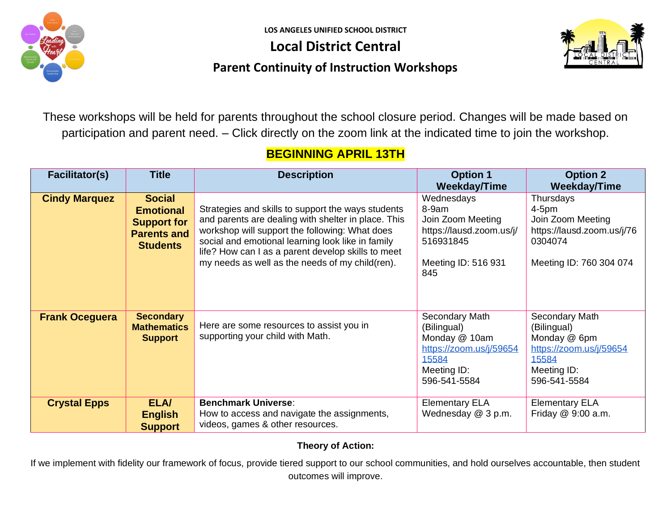

**LOS ANGELES UNIFIED SCHOOL DISTRICT**

**Local District Central**



### **Parent Continuity of Instruction Workshops**

These workshops will be held for parents throughout the school closure period. Changes will be made based on participation and parent need. – Click directly on the zoom link at the indicated time to join the workshop.

### **BEGINNING APRIL 13TH**

| <b>Facilitator(s)</b> | <b>Title</b>                                                                                     | <b>Description</b>                                                                                                                                                                                                                                                                                                        | <b>Option 1</b><br><b>Weekday/Time</b>                                                                            | <b>Option 2</b><br><b>Weekday/Time</b>                                                                           |
|-----------------------|--------------------------------------------------------------------------------------------------|---------------------------------------------------------------------------------------------------------------------------------------------------------------------------------------------------------------------------------------------------------------------------------------------------------------------------|-------------------------------------------------------------------------------------------------------------------|------------------------------------------------------------------------------------------------------------------|
| <b>Cindy Marquez</b>  | <b>Social</b><br><b>Emotional</b><br><b>Support for</b><br><b>Parents and</b><br><b>Students</b> | Strategies and skills to support the ways students<br>and parents are dealing with shelter in place. This<br>workshop will support the following: What does<br>social and emotional learning look like in family<br>life? How can I as a parent develop skills to meet<br>my needs as well as the needs of my child(ren). | Wednesdays<br>8-9am<br>Join Zoom Meeting<br>https://lausd.zoom.us/j/<br>516931845<br>Meeting ID: 516 931<br>845   | Thursdays<br>$4-5pm$<br>Join Zoom Meeting<br>https://lausd.zoom.us/j/76<br>0304074<br>Meeting ID: 760 304 074    |
| <b>Frank Oceguera</b> | <b>Secondary</b><br><b>Mathematics</b><br><b>Support</b>                                         | Here are some resources to assist you in<br>supporting your child with Math.                                                                                                                                                                                                                                              | Secondary Math<br>(Bilingual)<br>Monday @ 10am<br>https://zoom.us/j/59654<br>15584<br>Meeting ID:<br>596-541-5584 | Secondary Math<br>(Bilingual)<br>Monday @ 6pm<br>https://zoom.us/j/59654<br>15584<br>Meeting ID:<br>596-541-5584 |
| <b>Crystal Epps</b>   | <b>ELA/</b><br><b>English</b><br><b>Support</b>                                                  | <b>Benchmark Universe:</b><br>How to access and navigate the assignments,<br>videos, games & other resources.                                                                                                                                                                                                             | <b>Elementary ELA</b><br>Wednesday @ 3 p.m.                                                                       | <b>Elementary ELA</b><br>Friday @ 9:00 a.m.                                                                      |

#### **Theory of Action:**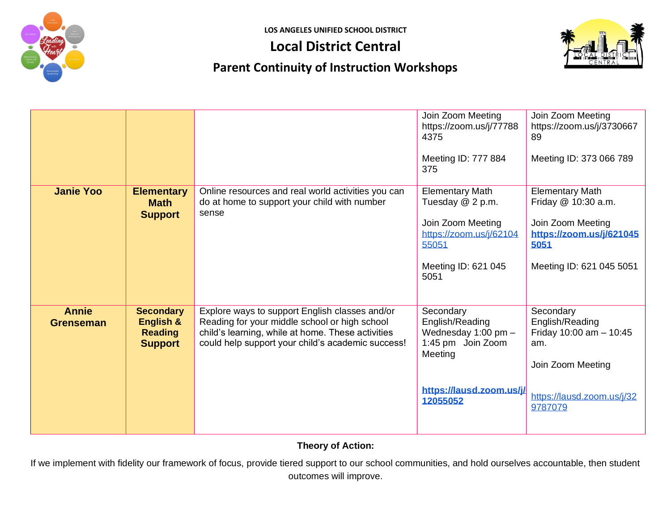

**LOS ANGELES UNIFIED SCHOOL DISTRICT**

## **Local District Central**



# **Parent Continuity of Instruction Workshops**

|                                  |                                                                   |                                                                                                                                                                                                           | Join Zoom Meeting<br>https://zoom.us/j/77788<br>4375<br>Meeting ID: 777 884<br>375                                                 | Join Zoom Meeting<br>https://zoom.us/j/3730667<br>89<br>Meeting ID: 373 066 789                                                    |
|----------------------------------|-------------------------------------------------------------------|-----------------------------------------------------------------------------------------------------------------------------------------------------------------------------------------------------------|------------------------------------------------------------------------------------------------------------------------------------|------------------------------------------------------------------------------------------------------------------------------------|
| <b>Janie Yoo</b>                 | <b>Elementary</b><br><b>Math</b><br><b>Support</b>                | Online resources and real world activities you can<br>do at home to support your child with number<br>sense                                                                                               | <b>Elementary Math</b><br>Tuesday @ 2 p.m.<br>Join Zoom Meeting<br>https://zoom.us/j/62104<br>55051<br>Meeting ID: 621 045<br>5051 | <b>Elementary Math</b><br>Friday @ 10:30 a.m.<br>Join Zoom Meeting<br>https://zoom.us/j/621045<br>5051<br>Meeting ID: 621 045 5051 |
| <b>Annie</b><br><b>Grenseman</b> | <b>Secondary</b><br>English &<br><b>Reading</b><br><b>Support</b> | Explore ways to support English classes and/or<br>Reading for your middle school or high school<br>child's learning, while at home. These activities<br>could help support your child's academic success! | Secondary<br>English/Reading<br>Wednesday 1:00 pm -<br>1:45 pm Join Zoom<br>Meeting<br>https://lausd.zoom.us/j/<br>12055052        | Secondary<br>English/Reading<br>Friday 10:00 am $- 10:45$<br>am.<br>Join Zoom Meeting<br>https://lausd.zoom.us/j/32<br>9787079     |

#### **Theory of Action:**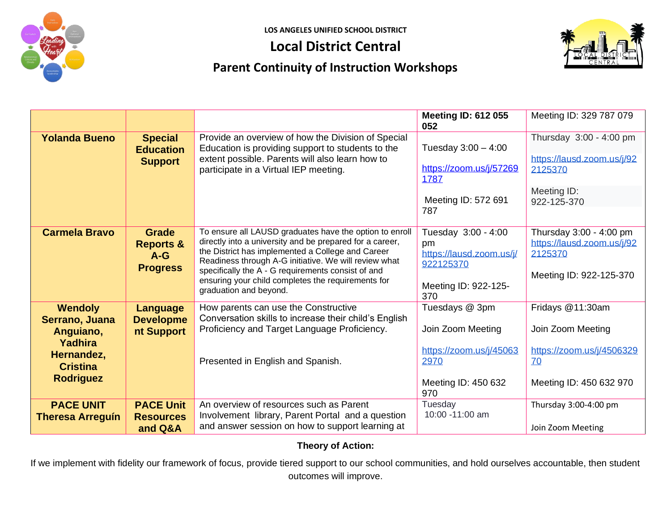

# **Local District Central**



## **Parent Continuity of Instruction Workshops**

|                                                                                                               |                                                                  |                                                                                                                                                                                                                                                                                                                                                                         | <b>Meeting ID: 612 055</b><br>052                                                                    | Meeting ID: 329 787 079                                                                             |
|---------------------------------------------------------------------------------------------------------------|------------------------------------------------------------------|-------------------------------------------------------------------------------------------------------------------------------------------------------------------------------------------------------------------------------------------------------------------------------------------------------------------------------------------------------------------------|------------------------------------------------------------------------------------------------------|-----------------------------------------------------------------------------------------------------|
| <b>Yolanda Bueno</b>                                                                                          | <b>Special</b><br><b>Education</b><br><b>Support</b>             | Provide an overview of how the Division of Special<br>Education is providing support to students to the<br>extent possible. Parents will also learn how to<br>participate in a Virtual IEP meeting.                                                                                                                                                                     | Tuesday $3:00 - 4:00$<br>https://zoom.us/j/57269<br>1787<br>Meeting ID: 572 691                      | Thursday 3:00 - 4:00 pm<br>https://lausd.zoom.us/j/92<br>2125370<br>Meeting ID:<br>922-125-370      |
|                                                                                                               |                                                                  |                                                                                                                                                                                                                                                                                                                                                                         | 787                                                                                                  |                                                                                                     |
| <b>Carmela Bravo</b>                                                                                          | <b>Grade</b><br><b>Reports &amp;</b><br>$A-G$<br><b>Progress</b> | To ensure all LAUSD graduates have the option to enroll<br>directly into a university and be prepared for a career,<br>the District has implemented a College and Career<br>Readiness through A-G initiative. We will review what<br>specifically the A - G requirements consist of and<br>ensuring your child completes the requirements for<br>graduation and beyond. | Tuesday 3:00 - 4:00<br>pm<br>https://lausd.zoom.us/j/<br>922125370<br>Meeting ID: 922-125-<br>370    | Thursday 3:00 - 4:00 pm<br>https://lausd.zoom.us/j/92<br>2125370<br>Meeting ID: 922-125-370         |
| <b>Wendoly</b><br>Serrano, Juana<br>Anguiano,<br>Yadhira<br>Hernandez,<br><b>Cristina</b><br><b>Rodriguez</b> | <b>Language</b><br><b>Developme</b><br>nt Support                | How parents can use the Constructive<br>Conversation skills to increase their child's English<br>Proficiency and Target Language Proficiency.<br>Presented in English and Spanish.                                                                                                                                                                                      | Tuesdays @ 3pm<br>Join Zoom Meeting<br>https://zoom.us/j/45063<br>2970<br>Meeting ID: 450 632<br>970 | Fridays @11:30am<br>Join Zoom Meeting<br>https://zoom.us/j/4506329<br>70<br>Meeting ID: 450 632 970 |
| <b>PACE UNIT</b><br><b>Theresa Arreguín</b>                                                                   | <b>PACE Unit</b><br><b>Resources</b><br>and Q&A                  | An overview of resources such as Parent<br>Involvement library, Parent Portal and a question<br>and answer session on how to support learning at                                                                                                                                                                                                                        | Tuesday<br>10:00 -11:00 am                                                                           | Thursday 3:00-4:00 pm<br>Join Zoom Meeting                                                          |

#### **Theory of Action:**